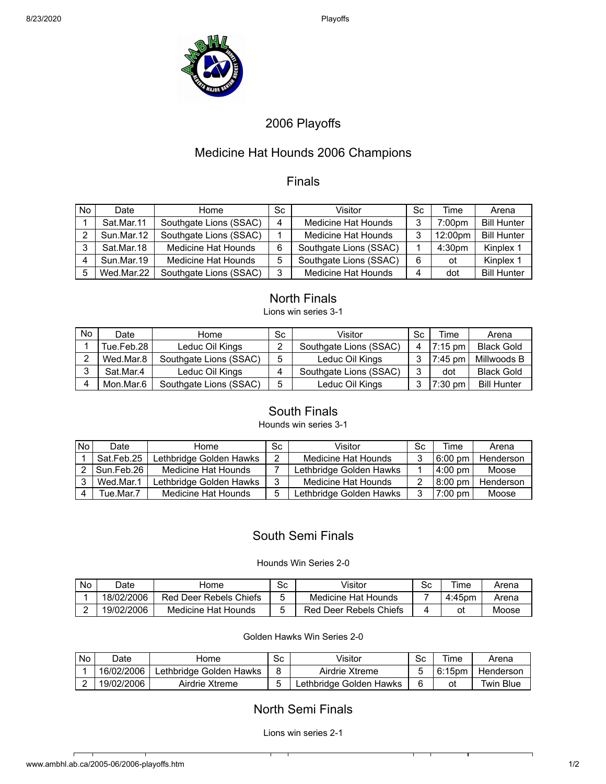

# 2006 Playoffs

## Medicine Hat Hounds 2006 Champions

## Finals

| No. | Date       | Home                       | Sc. | Visitor                | Sc | Time               | Arena              |
|-----|------------|----------------------------|-----|------------------------|----|--------------------|--------------------|
|     | Sat.Mar.11 | Southgate Lions (SSAC)     | 4   | Medicine Hat Hounds    | 3  | 7:00pm             | <b>Bill Hunter</b> |
|     | Sun.Mar.12 | Southgate Lions (SSAC)     |     | Medicine Hat Hounds    | 3  | 12:00pm            | <b>Bill Hunter</b> |
| ົ   | Sat.Mar.18 | <b>Medicine Hat Hounds</b> | 6   | Southgate Lions (SSAC) |    | 4:30 <sub>pm</sub> | Kinplex 1          |
|     | Sun.Mar.19 | Medicine Hat Hounds        | 5   | Southgate Lions (SSAC) | 6  | ot                 | Kinplex 1          |
| 5   | Wed.Mar.22 | Southgate Lions (SSAC)     | 3   | Medicine Hat Hounds    |    | dot                | <b>Bill Hunter</b> |

## North Finals

Lions win series 3-1

| No | Date       | Home                   | Sc | Visitor                | Sc     | Time                 | Arena              |
|----|------------|------------------------|----|------------------------|--------|----------------------|--------------------|
|    | Tue.Feb.28 | Leduc Oil Kings        |    | Southgate Lions (SSAC) | 4      | $7:15 \,\mathrm{pm}$ | <b>Black Gold</b>  |
|    | Wed.Mar.8  | Southgate Lions (SSAC) | 5  | Leduc Oil Kings        |        | $7:45 \text{ pm}$    | Millwoods B        |
| ◠  | Sat.Mar.4  | Leduc Oil Kings        |    | Southgate Lions (SSAC) | ◠<br>J | dot                  | <b>Black Gold</b>  |
|    | Mon.Mar.6  | Southgate Lions (SSAC) | 5  | Leduc Oil Kings        |        | $7:30 \text{ pm}$    | <b>Bill Hunter</b> |

## South Finals

### Hounds win series 3-1

| No l | Date       | Home                    | Sc. | Visitor                 | Sc | Time              | Arena     |
|------|------------|-------------------------|-----|-------------------------|----|-------------------|-----------|
|      | Sat.Feb.25 | Lethbridge Golden Hawks |     | Medicine Hat Hounds     |    | $6:00 \text{ pm}$ | Henderson |
|      | Sun.Feb.26 | Medicine Hat Hounds     |     | Lethbridge Golden Hawks |    | $4:00$ pm         | Moose     |
|      | Wed.Mar.1  | Lethbridge Golden Hawks |     | Medicine Hat Hounds     |    | 8:00 pm           | Henderson |
|      | rue.Mar.7  | Medicine Hat Hounds     |     | Lethbridge Golden Hawks | ີ  | $7:00$ pm         | Moose     |

## South Semi Finals

#### Hounds Win Series 2-0

| <b>No</b> | <b>Date</b> | Home                   | Sc | √isitor                | Sc | Time   | Arena |
|-----------|-------------|------------------------|----|------------------------|----|--------|-------|
|           | 18/02/2006  | Red Deer Rebels Chiefs |    | Medicine Hat Hounds    |    | 4:45pm | Arena |
|           | 19/02/2006  | Medicine Hat Hounds    |    | Red Deer Rebels Chiefs |    | οt     | Moose |

#### Golden Hawks Win Series 2-0

| <b>No</b> | <b>Date</b> | Home                    | Sc | Visitor                 | <b>Sc</b> | Time      | Arena     |
|-----------|-------------|-------------------------|----|-------------------------|-----------|-----------|-----------|
|           | 16/02/2006  | Lethbridge Golden Hawks |    | Airdrie Xtreme          |           | $6:15$ pm | Henderson |
|           | 19/02/2006  | Airdrie Xtreme          |    | Lethbridge Golden Hawks |           | οt        | Twin Blue |

## North Semi Finals

Lions win series 2-1